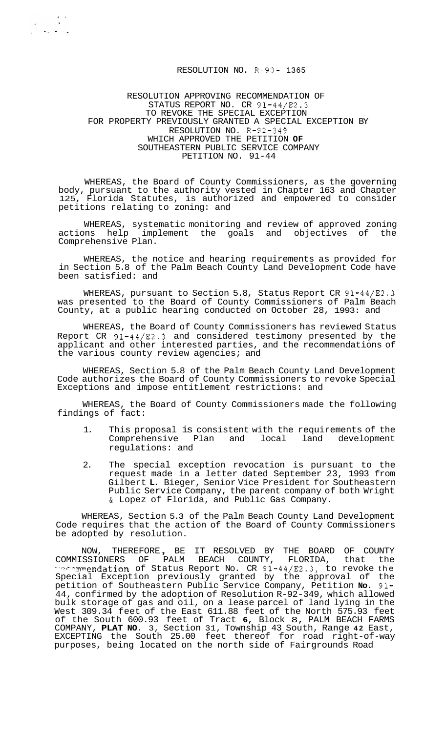#### RESOLUTION NO. R-93- 1365

#### RESOLUTION APPROVING RECOMMENDATION OF STATUS REPORT NO. CR 91-44/E2.3 TO REVOKE THE SPECIAL EXCEPTION FOR PROPERTY PREVIOUSLY GRANTED A SPECIAL EXCEPTION BY RESOLUTION NO. R-92-349 WHICH APPROVED THE PETITION **OF**  SOUTHEASTERN PUBLIC SERVICE COMPANY PETITION NO. 91-44

WHEREAS, the Board of County Commissioners, as the governing body, pursuant to the authority vested in Chapter 163 and Chapter 125, Florida Statutes, is authorized and empowered to consider petitions relating to zoning: and

WHEREAS, systematic monitoring and review of approved zoning<br>ons help implement the goals and objectives of the actions help implement the goals and objectives of Comprehensive Plan.

WHEREAS, the notice and hearing requirements as provided for in Section 5.8 of the Palm Beach County Land Development Code have been satisfied: and

WHEREAS, pursuant to Section 5.8, Status Report CR 91-44/E2.3 was presented to the Board of County Commissioners of Palm Beach County, at a public hearing conducted on October 28, 1993: and

WHEREAS, the Board of County Commissioners has reviewed Status Report CR 91-44/E2.3 and considered testimony presented by the applicant and other interested parties, and the recommendations of the various county review agencies; and

WHEREAS, Section 5.8 of the Palm Beach County Land Development Code authorizes the Board of County Commissioners to revoke Special Exceptions and impose entitlement restrictions: and

WHEREAS, the Board of County Commissioners made the following findings of fact:

- 1. This proposal is consistent with the requirements of the<br>Comprehensive Plan and local land development Comprehensive Plan and regulations: and
- 2. The special exception revocation is pursuant to the request made in a letter dated September 23, 1993 from Gilbert **L.** Bieger, Senior Vice President for Southeastern Public Service Company, the parent company of both Wright & Lopez of Florida, and Public Gas Company.

WHEREAS, Section 5.3 of the Palm Beach County Land Development Code requires that the action of the Board of County Commissioners be adopted by resolution.

NOW, THEREFORE , BE IT RESOLVED BY THE BOARD OF COUNTY COMMISSIONERS OF PALM BEACH COUNTY, FLORIDA, that the mendation of Status Report No. CR 91-44/E2.3, to revoke the Special Exception previously granted by the approval of the petition of Southeastern Public Service Company, Petition **No.** 91- 44, confirmed by the adoption of Resolution R-92-349, which allowed bulk storage of gas and oil, on a lease parcel of land lying in the West 309.34 feet of the East 611.88 feet of the North 575.93 feet of the South 600.93 feet of Tract **6,** Block 8, PALM BEACH FARMS COMPANY, **PLAT NO.** 3, Section 31, Township 43 South, Range **42** East, EXCEPTING the South 25.00 feet thereof for road right-of-way purposes, being located on the north side of Fairgrounds Road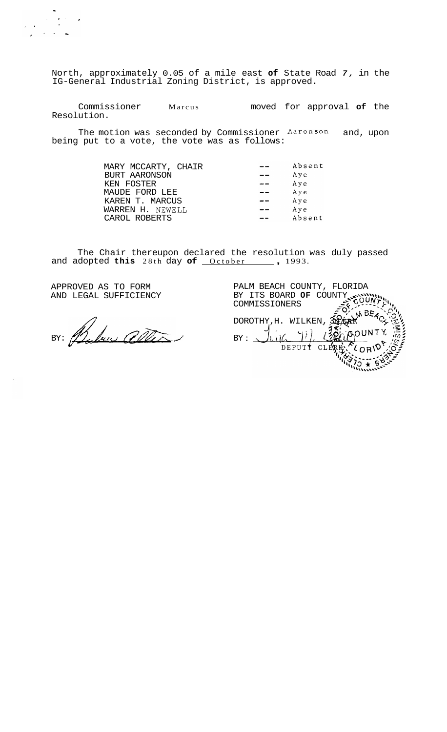North, approximately 0.05 of a mile east **of** State Road *7,* in the IG-General Industrial Zoning District, is approved.

Commissioner Marcus Resolution. moved for approval **of** the

The motion was seconded by Commissioner Aaronson and, upon being put to a vote, the vote was as follows:

| MARY MCCARTY, CHAIR | Absent |
|---------------------|--------|
| BURT AARONSON       | Aye    |
| KEN FOSTER          | Aye    |
| MAUDE FORD LEE      | Aye    |
| KAREN T. MARCUS     | Aye    |
| WARREN H. NEWELL    | Aye    |
| CAROL ROBERTS       | Absent |
|                     |        |

The Chair thereupon declared the resolution was duly passed and adopted this 28th day of <u>October</u>, 1993.

APPROVED AS TO FORM AND LEGAL SUFFICIENCY

 $\label{eq:2} \frac{1}{\sqrt{2}}\left(\frac{1}{\sqrt{2}}\right)^2\frac{1}{\sqrt{2}}\left(\frac{1}{\sqrt{2}}\right)^2.$ 

BY: Baken aller

PALM BEACH COUNTY, FLORIDA BY ITS BOARD **OF** COUNTY **..x%""\\\**  -.5 -----~ -- **cOUA!\$\$~-**  COMMISSIONERS DOROTHY, H. WILKEN, 3  $BY:$  $DEPUT$ CLER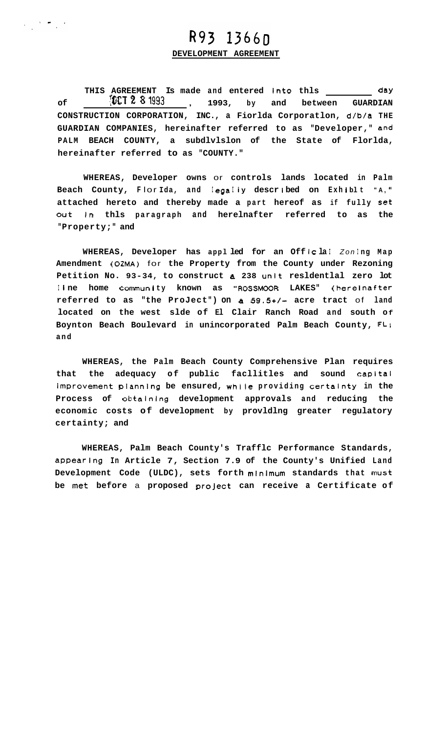# R93 1366D

 $\label{eq:2.1} \begin{array}{ll} \mathcal{L}_{\mathcal{A}}(\mathcal{A}) & \mathcal{L}_{\mathcal{A}}(\mathcal{A}) \\ \mathcal{L}_{\mathcal{A}}(\mathcal{A}) & \mathcal{L}_{\mathcal{A}}(\mathcal{A}) \end{array}$ 

## **DEVELOPMENT AGREEMENT**

THIS AGREEMENT Is made and entered into thls \_\_\_\_\_\_\_\_\_ day<br><sup>1993</sup> 1993, by and between GUARDIAN of **W.I.Z. 8 1993**, 1993, by and between GUARDIAN **CONSTRUCTION CORPORATION, INC., a Fiorlda Corporatlon, d/b/a THE GUARDIAN COMPANIES, hereinafter referred to as "Developer," and PALM BEACH COUNTY, a subdlvlslon of the State of Florlda, hereinafter referred to as "COUNTY."** 

**WHEREAS, Developer owns** or **controls lands located in Palm**  Beach County, Flor Ida, and legally described on Exhiblt "A," **attached hereto and thereby made a part hereof as if fully Set out in thls paragraph and herelnafter referred to as the "Property;" and** 

WHEREAS, Developer has appl led for an Off Icla! Zoning Map **Amendment (OZMA)** for **the Property from the County under Rezoning Petition No. 93-34, to construct a 238 unit resldentlal zero lot**  I**I** ne home community known as "ROSSMOOR LAKES" (hereinafter **referred to as "the ProJect") on a** *59.5+/-* **acre tract** of **land located on the west slde of El Clair Ranch Road and south Of Boynton Beach Boulevard in unincorporated Palm Beach County, FL; and** 

**WHEREAS, the Palm Beach County Comprehensive Plan requires that the adequacy of public facllitles and sound Capital improvement plannlng be ensured, while providing certalnty in the Process of obtalning development approvals and reducing the economic costs of development by provldlng greater regulatory certainty; and** 

**WHEREAS, Palm Beach County's Trafflc Performance Standards, appearing In Article 7, Section 7.9 of the County's Unified Land Development Code (ULDC), sets forth minlmum standards that must be met before** a **proposed proJect can receive a Certificate of**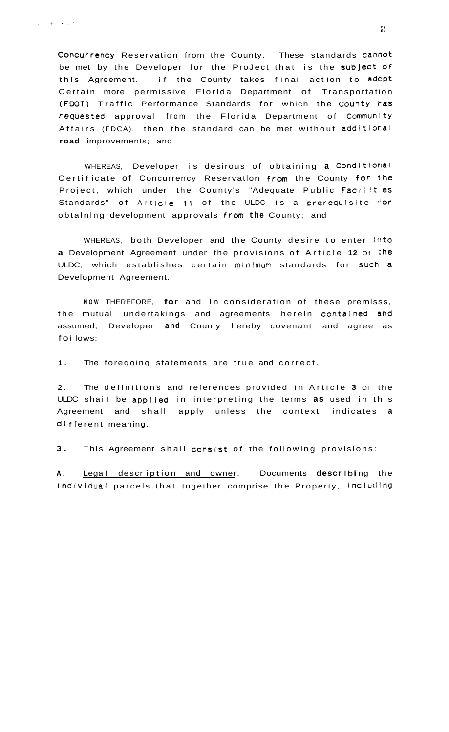Concurrency Reservation from the County. These standards cannot be met by the Developer for the ProJect that is the subject of if the County takes finai action to adcpt this Agreement. Certain more permissive Florlda Department of Transportation (FDOT) Traffic Performance Standards for which the County ras requested approval from the Florida Department of Community Affairs (FDCA), then the standard can be met without additioral road improvements; and

WHEREAS, Developer is desirous of obtaining a Conditional Certificate of Concurrency Reservation from the County for the Project, which under the County's "Adequate Public Facilit es Standards" of Article 11 of the ULDC is a prerequisite "or obtaining development approvals from the County; and

WHEREAS, both Developer and the County desire to enter Into a Development Agreement under the provisions of Article 12 of the ULDC, which establishes certain minimum standards for such a Development Agreement.

NOW THEREFORE, for and In consideration of these premisss, the mutual undertakings and agreements herein contained and assumed, Developer and County hereby covenant and agree as foi lows:

 $1.$ The foregoing statements are true and correct.

The definitions and references provided in Article 3 of the  $2.$ ULDC shail be applied in interpreting the terms as used in this Agreement and shall apply unless the context indicates a different meaning.

 $3.$ This Agreement shall consist of the following provisions:

Legal description and owner. Documents describing the A. Individual parcels that together comprise the Property, Including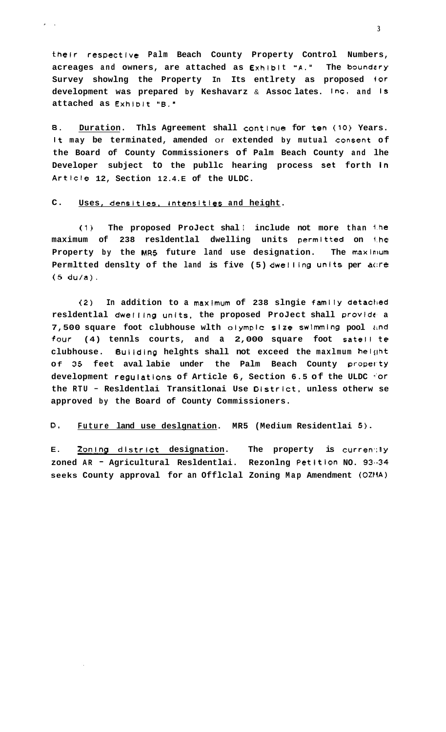their respective Palm Beach County Property Control Numbers, acreages and owners, are attached as Exhibit "A." The boundary Survey showlng the Property In Its entlrety as proposed for development was prepared by Keshavarz & Assoclates. Inc. and Is attached as Exhibit "B."

В. Duration. Thls Agreement shall continue for ten (10) Years. It may be terminated, amended or extended by mutual consent of the Board of County Commissioners of Palm Beach County and lhe Developer subject to the publlc hearing process set forth in Article 12, Section 12.4.E of the ULDC.

#### $\mathbf{C}$ . Uses, densities, intensities and height.

 $\lambda_{\rm{max}}$ 

(1) The proposed ProJect shall include not more than the maximum of 238 resldentlal dwelling units permitted on the Property by the MR5 future land use designation. The maximum Permltted denslty of the land is five (5) dwelling units per acre  $(5 du/a)$ .

In addition to a maximum of 238 slngie family detached  $(2)$ residential dwelling units, the proposed ProJect shall provide a 7,500 square foot clubhouse with olympic size swimming pool and four (4) tennls courts, and a 2,000 square foot satell te clubhouse. Building helghts shall not exceed the maximum helght of 35 feet avallabie under the Palm Beach County property development regulations of Article 6, Section 6.5 of the ULDC for the RTU - Resldentlai Transitlonai Use District, unless otherw se approved by the Board of County Commissioners.

D. Future land use deslgnation. MR5 (Medium Residentlai 5).

E. Zoning district designation. The property is currently zoned AR - Agricultural Resldentlai. Rezonlng Petition NO. 93.34 seeks County approval for an Official Zoning Map Amendment (OZMA)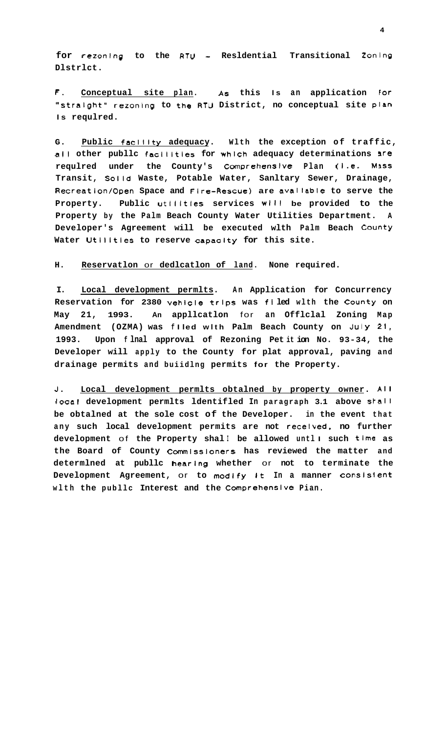**for rezonlng to the RTU** - **Resldential Transitional Zonlng Dlstrlct.** 

**F. Conceptual site plan. AS this Is an application** For **"stralght" rezonlng to the RTU District, no conceptual site pian Is requlred.** 

**G. Public facllity adequacy. Wlth the exception of traffic,**  all **other publlc facllities for WhlCh adequacy determinations** Ire **requlred under the County's Comprehenslve Plan (1.e. M3SS Transit, Solid Waste, Potable Water, Sanltary Sewer, Drainage, Recreation/Open Space and Fire-Rescue) are avallable to serve the Property. Public utllitles services wlII be provided to the Property by the Palm Beach County Water Utilities Department. A Developer's Agreement will be executed wlth Palm Beach County Water Utllltles to reserve capaclty for this site.** 

#### **H. Reservatlon** or **dedlcatlon of land. None required.**

**I. Local development permlts. An Application for Concurrency Reservation for 2380 vehlcle trips was fl led wlth the County on May 21, 1993. An appllcatlon** for **an Offlclal Zoning Map Amendment (OZMA) was f I led wlth Palm Beach County on July 21, 1993. Upon f lnal approval of Rezoning Pet it ion No. 93-34, the Developer will apply to the County for plat approval, paving and drainage permits and buiidlng permits for the Property.** 

**J. Local development permlts obtalned by property owner. All**  local development permlts ldentifled In paragraph 3.1 above stall **be obtalned at the sole cost of the Developer. in the event that any such local development permits are not recelved, no further development** of **the Property shal I be allowed untl I such time as the Board of County Commlssloners has reviewed the matter and determlned at publlc hearlng whether** or **not to terminate the Development Agreement,** or **to modify It In a manner consislent wlth the publlc Interest and the Comprehenslve Pian.**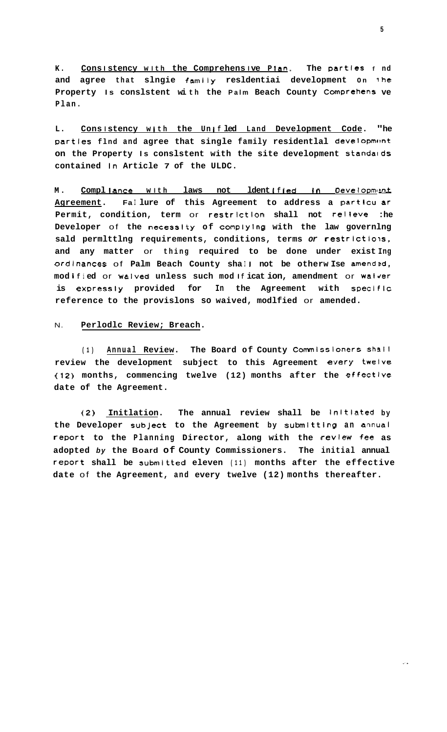Consistency with the Comprehensive Plan. The parties f nd  $K$ . and agree that slngie family resldentiai development on the Property Is conslstent with the Palm Beach County Comprehens ve  $Plan.$ 

Consistency with the Unified Land Development Code.  $L$ . "he parties flnd and agree that single family residentlal development on the Property Is conslstent with the site development standards contained in Article 7 of the ULDC.

Compliance with laws not ldentified in Development **M**. Agreement. Failure of this Agreement to address a particu ar Permit, condition, term or restriction shall not relieve  $:he$ Developer of the necessity of complying with the law governing sald permitting requirements, conditions, terms or restrictions, and any matter or thing required to be done under exist Ing ordinances of Palm Beach County shall not be otherwise amended, modified or waived unless such modification, amendment or waiver is expressly provided for In the Agreement with specific reference to the provislons so waived, modlfied or amended.

#### Perlodlc Review; Breach.  $N$

Annual Review. The Board of County Commissioners shall  $(1)$ review the development subject to this Agreement every twelve (12) months, commencing twelve (12) months after the effective date of the Agreement.

Initlation. The annual review shall be initiated by  $(2)$ the Developer subject to the Agreement by submitting an annual report to the Planning Director, along with the review fee as adopted by the Board of County Commissioners. The initial annual report shall be submitted eleven (11) months after the effective date of the Agreement, and every twelve (12) months thereafter.

 $\mathbb{R}^2$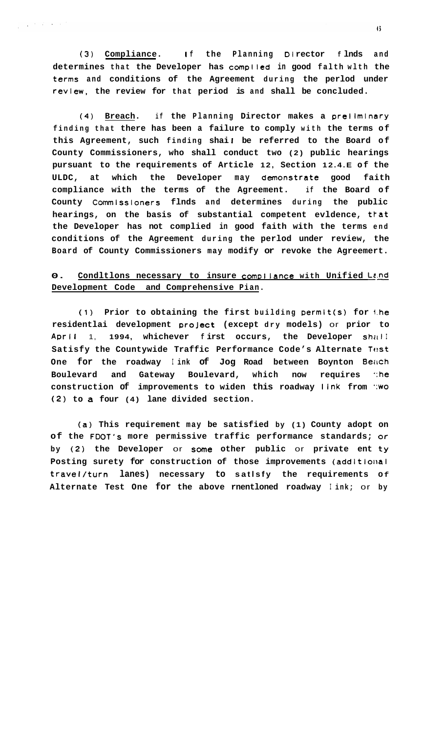(3) Compliance. If the Planning Director flnds and **determines that the Developer has compiled in good falth wlth the terms and conditions of the Agreement during the perlod under reVleW, the review for that period is and shall be concluded.** 

 $\mathcal{L}^{\mathcal{L}}(\mathcal{L}^{\mathcal{L}})$  and  $\mathcal{L}^{\mathcal{L}}(\mathcal{L}^{\mathcal{L}})$  and  $\mathcal{L}^{\mathcal{L}}(\mathcal{L}^{\mathcal{L}})$ 

**(4) Breach. if the Planning Director makes a preiimlnary finding that there has been a failure to comply with the terms of**  this Agreement, such finding shai! be referred to the Board of **County Commissioners, who shall conduct two (2) public hearings pursuant to the requirements of Article 12, Section 12.4.E of the ULDC, at which the Developer may demonstrate good faith compliance with the terms of the Agreement. if the Board of**  County Commissioners flnds and determines during the public hearings, on the basis of substantial competent evldence, that **the Developer has not complied in good faith with the terms end conditions of the Agreement during the perlod under review, the Board of County Commissioners may modify or revoke the Agreemert.** 

# **0.** Condltlons necessary to insure compliance with Unified Land **Development Code and Comprehensive Pian.**

(1) **Prior to obtaining the first building permit(s) for l.he residentlai development proJect (except dry models)** or **prior to**  April 1, 1994, whichever first occurs, the Developer shall Satisfy the Countywide Traffic Performance Code's Alternate Test One for the roadway I ink of Jog Road between Boynton Beach **Boulevard and Gateway Boulevard, which now requires ':he construction of improvements to widen this roadway link from ':wo (2) to a four (4) lane divided section.** 

**(a) This requirement may be satisfied by (1) County adopt on of the FDOT's more permissive traffic performance standards; or by (2) the Developer** or **some other public** or **private ent ty**  Posting surety for construction of those improvements (additional **travel/turn lanes) necessary to satlsfy the requirements Of Alternate Test One for the above rnentloned roadway I ink;** or **by**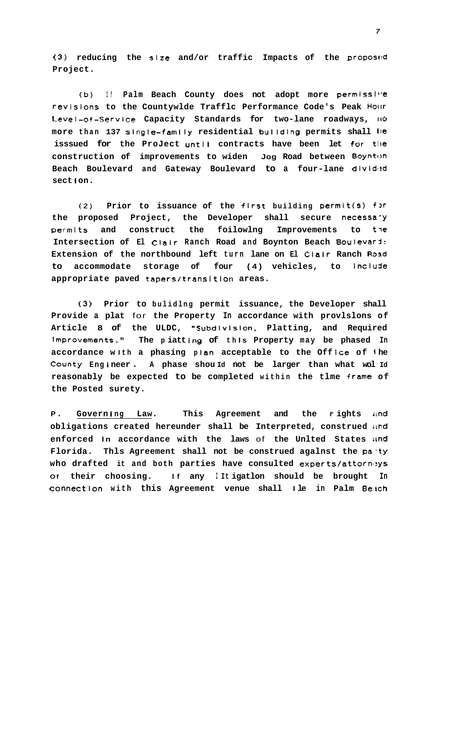**(3) reducing the** *sire* **and/or traffic Impacts of the proposc!d Project.** 

**(b) If Palm Beach County does not adopt more permiss1~'e revlslons to the Countywlde Trafflc Performance Code's Peak** Hollr **Level-of-Service Capacity Standards for two-lane roadways, 110 more than 137 slngle-family residential bulldlng permits shall i)e isssued for the ProJect untll contracts have been let for tile construction of improvements to widen Jog Road between Boynton**  Beach Boulevard and Gateway Boulevard to a four-lane divided **sect I on.** 

(2) Prior to issuance of the first building permit(s) for **the proposed Project, the Developer shall secure necessa-Y**  permits and construct the foilowlng Improvements to the **Intersection of El Clalr Ranch Road and Boynton Beach BoulevarJ: Extension of the northbound left turn lane on El Clalr Ranch Road**  to accommodate storage of four (4) vehicles, to Include **appropriate paved tapers/transition areas.** 

**(3) Prior to bulidlng permit issuance, the Developer shall Provide a plat** for **the Property In accordance with provlslons of**  Article 8 of the ULDC, "Subdlvision, Platting, and Required **Improvements. I' The p iatt lng of th Is Property may be phased In**  accordance with a phasing plan acceptable to the Office of  $i$ he **County Eng 1 neer** . **A phase shou Id not be larger than what wol Id reasonably be expected to be completed within the tlme frame of the Posted surety.** 

**P**. Governing Law. This Agreement and the rights and **obligations created hereunder shall be Interpreted, construed ilnd enforced In accordance with the laws** of **the Unlted States iind Florida. Thls Agreement shall not be construed agalnst the pa'ty**  who drafted it and both parties have consulted experts/attorneys **Of their choosing. If any I It igatlon should be brought In Connectlon with this Agreement venue shall** I **le in Palm Be'kch**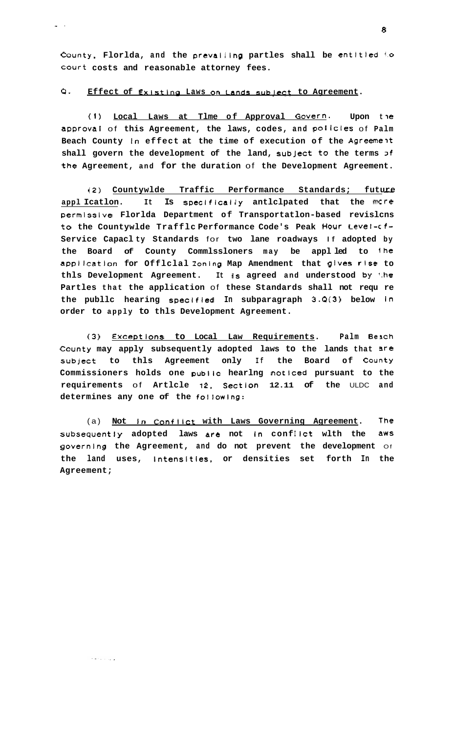County, Florlda, and the prevailing partles shall be entitled to court costs and reasonable attorney fees.

#### $Q$  . Effect of Existing Laws on Lands subject to Agreement.

 $\Delta \sim 10^{-1}$ 

Local Laws at Tlme of Approval Govern. Upon the  $(1)$ approval of this Agreement, the laws, codes, and policies of Palm Beach County in effect at the time of execution of the Agreement shall govern the development of the land, subject to the terms of the Agreement, and for the duration of the Development Agreement.

(2) Countywlde Traffic Performance Standards; future appl Icatlon. It Is specifically anticipated that the more permissive Florlda Department of Transportatlon-based revislcns to the Countywlde Trafflc Performance Code's Peak Hour Level-cf-Service Capaclty Standards for two lane roadways If adopted by the Board of County Commlssloners may be applled to the application for Official Zoning Map Amendment that gives rise to thls Development Agreement. It is agreed and understood by the Partles that the application of these Standards shall not requ re the public hearing specified In subparagraph 3.0(3) below in order to apply to thls Development Agreement.

Exceptions to Local Law Requirements.  $(3)$ Palm Beach County may apply subsequently adopted laws to the lands that are to thls Agreement only If the Board of County subject Commissioners holds one public hearlng noticed pursuant to the requirements of Artlcle 12, Section 12.11 of the ULDC and determines any one of the following:

The (a) Not in Conflict with Laws Governing Agreement. subsequently adopted laws are not in conflict with the aws governing the Agreement, and do not prevent the development of the land uses, intensities, or densities set forth In the Agreement;

الوالود والوجاج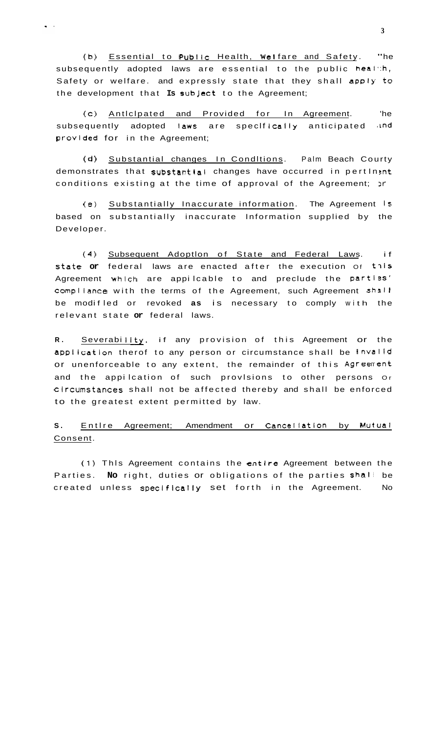(b) Essential to Public Health, Welfare and Safety. "he subsequently adopted laws are essential to the public heal th, Safety or welfare. and expressly state that they shall apply to the development that **Is** subJect to the Agreement;

 $\hat{\mathbf{q}} = \hat{\mathbf{q}}$ 

(c) Antlclpated and Provided for In Agreement. 'he subsequently adopted laws are specifically anticipated and provided for in the Agreement;

(d) Substantial changes In Conditions. Palm Beach Courty demonstrates that substantial changes have occurred in pertinent conditions existing at the time of approval of the Agreement; )r

(e) Substantially Inaccurate information. The Agreement **IS**  based on substantially inaccurate Information supplied by the Developer.

**(4)** Subsequent Adoptlon of State and Federal Laws. if State **or** federal laws are enacted after the execution Of t7iS Agreement which are appilcable to and preclude the parties' compliance with the terms of the Agreement, such Agreement shall be modifled or revoked as is necessary to comply with the relevant state **or** federal laws.

R. Severability. if any provision of this Agreement or the appilcatlon therof to any person or circumstance shall be lnval id or unenforceable to any extent, the remainder of this Agreement and the appi lcation of such provlsions to other persons Or Clrcumstances shall not be affected thereby and shall be enforced to the greatest extent permitted by law.

# S. Entire Agreement; Amendment or Cancellation by Mutual Consent.

**(1)** Thls Agreement contains the entire Agreement between the Parties. **No** right, duties or obligations of the parties shaii be created unless speclficaliy set forth in the Agreement. No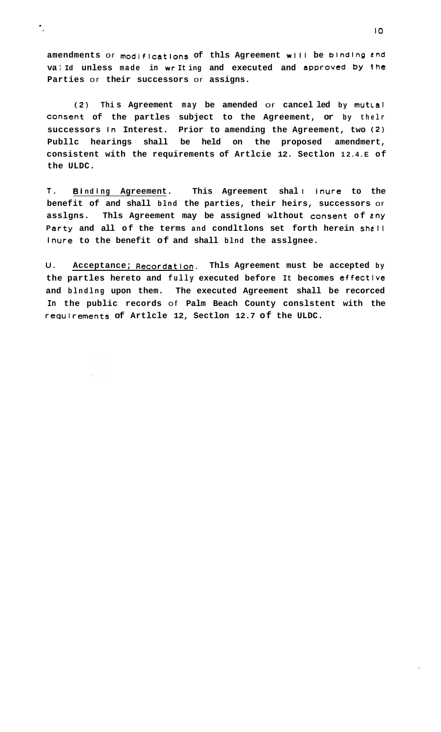**amendments** or **modifications of thls Agreement wlll be binding end va I Id unless made in wr It ing and executed and approved by the Parties** or **their successors** or **assigns.** 

 $\ddot{\phantom{a}}$ 

**(2) Thi s Agreement may be amended** or **cancel led by mutcal Consent of the partles subject to the Agreement, or by thelr successors In Interest. Prior to amending the Agreement, two (2) Publlc hearings shall be held on the proposed amendmert, consistent with the requirements of Artlcie 12. Sectlon 12.4.E of the ULDC.** 

**T. 6 I nd I ng Agreement. This Agreement shal** I **inure to the benefit of and shall blnd the parties, their heirs, successors** or **asslgns. Thls Agreement may be assigned wlthout Consent of zny Party and all of the terms and condltlons set forth herein shell inure to the benefit of and shall blnd the asslgnee.** 

**U. Acceptance; Recordatlon. Thls Agreement must be accepted by the partles hereto and fully executed before It becomes effective and blndlng upon them. The executed Agreement shall be recorced In the public records** of **Palm Beach County conslstent with the requlrements of Artlcle 12, Sectlon 12.7 of the ULDC.**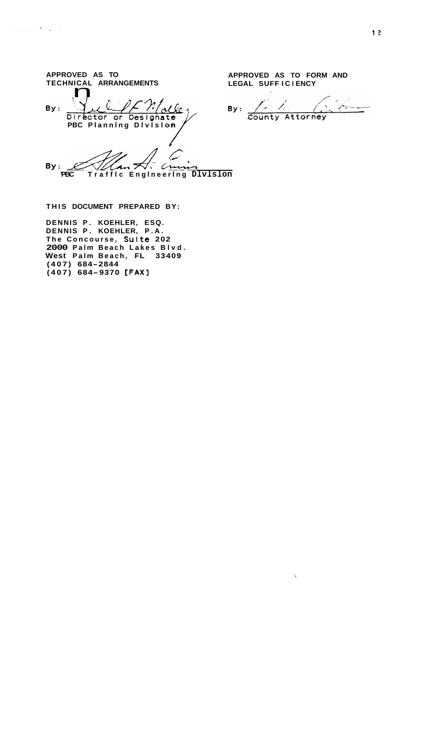| APPROVED AS TO                             | APPROVED AS TO FORM AND |
|--------------------------------------------|-------------------------|
| TECHNICAL ARRANGEMENTS                     | LEGAL SUFFICIENCY       |
| By:<br>Director or Designate               | By:<br>County Attorney  |
| PBC Planning Division                      |                         |
|                                            |                         |
| By:                                        |                         |
| Traffic Engineering DIvIslon<br><b>PBC</b> |                         |

 $\Delta \hat{X}$ 

THIS DOCUMENT PREPARED BY:

 $\label{eq:2.1} \frac{1}{\left(1+\frac{1}{2}\right)^{2}}\left(\frac{1}{2}\right)^{2}\frac{d^{2}}{d^{2}}\left(\frac{d^{2}}{d^{2}}\right)^{2}d^{2}$ 

DENNIS P. KOEHLER, ESQ.<br>DENNIS P. KOEHLER, P.A.<br>The Concourse, Sulte 202<br>2000 Palm Beach Lakes Blvd.<br>West Palm Beach, FL 33409  $(407)$  684-2844<br>(407) 684-9370 [FAX]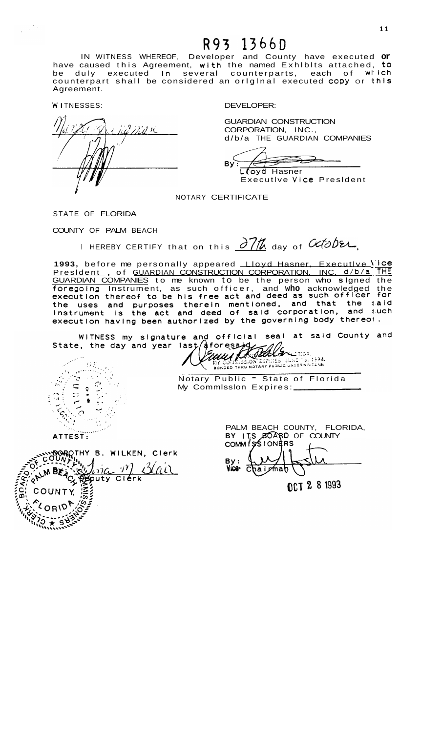# R93 1366D

IN WITNESS WHEREOF, Developer and County have executed **or**  have caused this Agreement, with the named Exhibits attached, to be duly executed in several counterparts, each of which counterpart shall be considered an original executed copy of this Agreement.

**<sup>W</sup>**I TNESSES: DEVELOPER:

 $\frac{1}{2}$  ,  $\frac{1}{2}$  ,  $\frac{1}{2}$ 

ana n *I* 

GUARDIAN CONSTRUCTION CORPORATION, INC., d/b/a THE GUARDIAN COMPANIES

ਵਵੇਂ **B** Ltoyd Hasner

Executlve Vlce Presldent

NOTARY CERTIFICATE

STATE OF FLORIDA

COUNTY OF PALM BEACH

I HEREBY CERTIFY that on this  $\frac{\partial 7}{\partial}$  day of  $\alpha$ 

I HEREBY CERTIFY that on this <u>0 //0</u> day of 000024,<br>**1993**, before me personally appeared <u>Lloyd Hasner, Executive 'ice</u><br><u>President</u> , of <u>GUARDIAN CONSTRUCTION CORPORATION, INC. d/b/a. THE</u> GUARDIAN COMPANIES to me known to be the person who **s** lgned the foregoing Instrument, as such officer, and who acknowledged the execution having been authorized by the governing body thereof.

WITNESS my signature and official seal at said County and state, the day and year last aforesand



ダ لەردىسى:<br>ئىستىپ Notary Public - State of Florida

My Commlsslon Expires:

ATTEST:

BOROTHY B. WILKEN, CIETK BEACX  $\neg \mathcal{V}$ <u>Blair</u>  $lnn$ Sputy Clerk  $\frac{1}{2}$ COUNTY,

PALM BEACH COUNTY, FLORIDA, BY **175 BOARD** OF COUNTY<br>COMM 195 IONERS alpmah

OCT 2 8 1993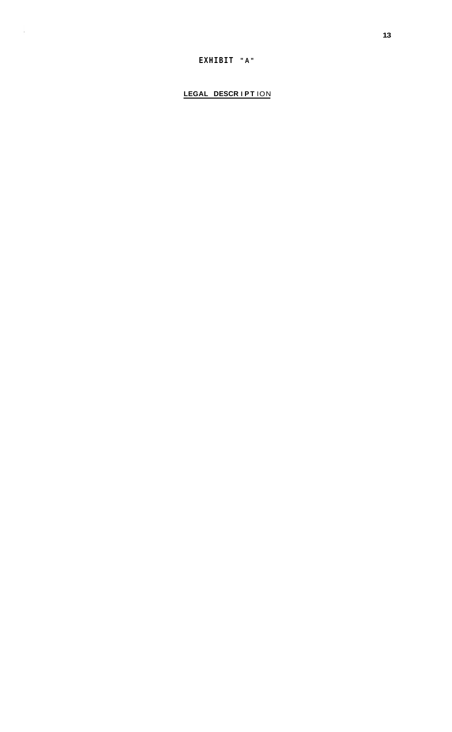# EXHIBIT "A"

 $\sim$ 

LEGAL DESCRIPTION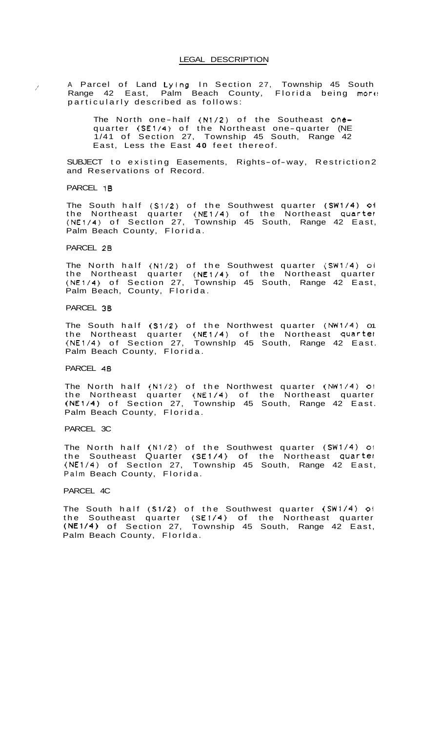A Parcel of Land Lying In Section 27, Township 45 South Range 42 East, Palm Beach County, Florida being more particularly described as follows:

The North one-half (N1/2) of the Southeast onequarter (SE1/4) of the Northeast one-quarter (NE 1/41 of Section 27, Township 45 South, Range 42 East, Less the East **40** feet thereof.

SUBJECT to existing Easements, Rights-of-way, Restriction2 and Reservations of Record.

PARCEL 1B

/'

The South half (S1/2) of the Southwest quarter (SW1/4) oi the Northeast quarter (NE1/4) of the Northeast quarter (NE1/4) of Sectlon 27, Township 45 South, Range 42 East, Palm Beach County, Florida.

#### PARCEL 28

The North half (N1/2) of the Southwest quarter (SW1/4) oi the Northeast quarter (NE1/4) of the Northeast quarter (NE1/4) of Section 27, Township 45 South, Range 42 East, Palm Beach, County, Florida.

#### PARCEL 38

The South half  $(S1/2)$  of the Northwest quarter  $(NW1/4)$  or the Northeast quarter (NE1/4) of the Northeast quarter (NE1/4) of Section 27, Townshlp 45 South, Range 42 East. Palm Beach County, Florida.

#### PARCEL 48

The North half (N1/2) of the Northwest quarter (NW1/4) **01**  the Northeast quarter (NE1/4) of the Northeast quarter (NE1/4) of Section 27, Township 45 South, Range 42 East. Palm Beach County, Florida.

#### PARCEL 3C

The North half (N1/2) of the Southwest quarter (SW1/4) 01 the Southeast Quarter (SE1/4) of the Northeast quartel (NE1/4) of Sectlon 27, Township 45 South, Range 42 East, Palm Beach County, Florida.

#### PARCEL 4C

The South half (S1/2) of the Southwest quarter (SW1/4) oi the Southeast quarter (SE1/4) of the Northeast quarter (NE1/4) of Section 27, Township 45 South, Range 42 East, Palm Beach County, Florlda.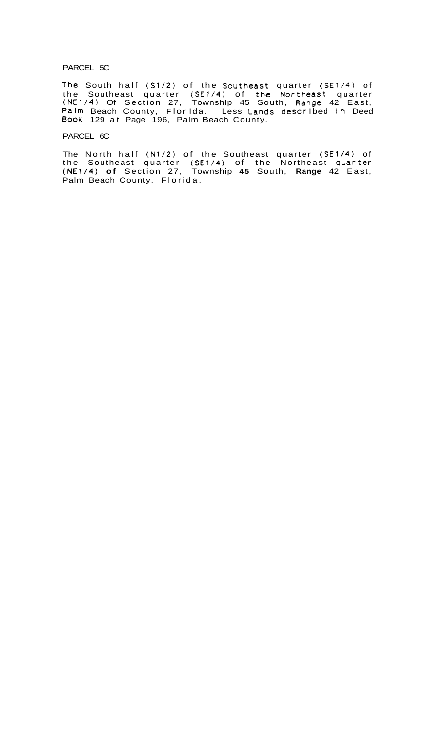#### PARCEL 5C

The South half (S1/2) of the Southeast quarter (SE1/4) of the Southeast quarter (SE1/4) of the Northeast quarter (NE1141 Of Section 27, Townshlp 45 South, Range 42 East, Palm Beach County, Flor Ida. Less Lands described in Deed **Book** 129 at Page 196, Palm Beach County.

#### PARCEL 6C

The North half (N1/2) of the Southeast quarter (SE1/4) of the Southeast quarter **(SE1/4)** of the Northeast quarter (NE1/4) **of** Section 27, Township **45** South, **Range** 42 East, Palm Beach County, Florida.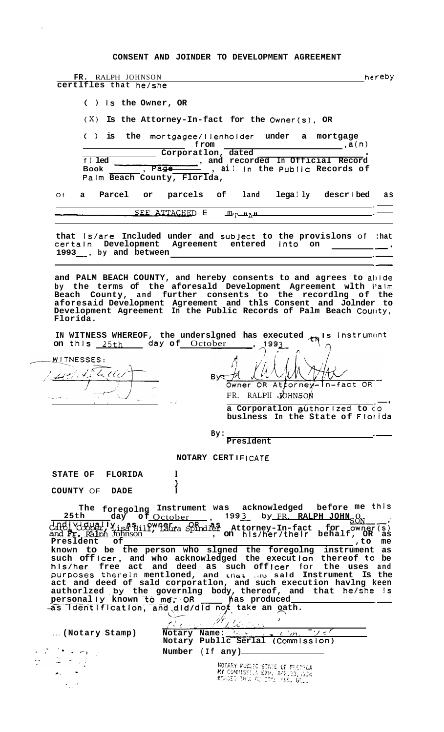CONSENT AND JOINDER TO DEVELOPMENT AGREEMENT

 $\mathcal{L}_{\text{max}}$  and  $\mathcal{L}_{\text{max}}$ 

| FR. RALPH JOHNSON<br>certlfles that he/she |                             |                                                                                                                                                                                                                                                                                                                                                                                                                                                                                   |                                                                    | hereby                                         |
|--------------------------------------------|-----------------------------|-----------------------------------------------------------------------------------------------------------------------------------------------------------------------------------------------------------------------------------------------------------------------------------------------------------------------------------------------------------------------------------------------------------------------------------------------------------------------------------|--------------------------------------------------------------------|------------------------------------------------|
|                                            | $( )$ is the Owner, OR      |                                                                                                                                                                                                                                                                                                                                                                                                                                                                                   |                                                                    |                                                |
|                                            |                             | $(X)$ Is the Attorney-In-fact for the Owner(s), OR                                                                                                                                                                                                                                                                                                                                                                                                                                |                                                                    |                                                |
|                                            |                             | () is the mortgagee/llenholder under a mortgage<br>from                                                                                                                                                                                                                                                                                                                                                                                                                           |                                                                    |                                                |
| $f$ I led<br>Book                          | Palm Beach County, Florlda, | Corporation, dated<br>Page and recorded In Official Record                                                                                                                                                                                                                                                                                                                                                                                                                        |                                                                    |                                                |
|                                            |                             | Of a Parcel or parcels of land legally described                                                                                                                                                                                                                                                                                                                                                                                                                                  |                                                                    | a s                                            |
|                                            | <u>SEE ATTACHE</u> D E      | <u>_m, _ n, n</u>                                                                                                                                                                                                                                                                                                                                                                                                                                                                 |                                                                    |                                                |
| 1993, by and between                       |                             | that Is/are Included under and subject to the provislons of : hat<br>certain Development Agreement entered into on                                                                                                                                                                                                                                                                                                                                                                |                                                                    |                                                |
| Florida.                                   |                             | and PALM BEACH COUNTY, and hereby consents to and agrees to abide<br>by the terms of the aforesald Development Agreement wlth l'alm<br>Beach County, and further consents to the recording of the<br>aforesaid Development Agreement and thls Consent and Jolnder to<br>Development Agreement In the Public Records of Palm Beach County,                                                                                                                                         |                                                                    |                                                |
|                                            | on this 25th day of October | IN WITNESS WHEREOF, the undersigned has executed <sub>th</sub> is instrument                                                                                                                                                                                                                                                                                                                                                                                                      | 1993                                                               |                                                |
| WITNESSES:<br>1 portsteller                |                             | Owner                                                                                                                                                                                                                                                                                                                                                                                                                                                                             | OR Attorney-In-fact OR<br>FR. RALPH JOHNSON                        |                                                |
|                                            |                             |                                                                                                                                                                                                                                                                                                                                                                                                                                                                                   | a Corporation guthorized to co<br>buslness In the State of Florida |                                                |
|                                            |                             | By:<br>President                                                                                                                                                                                                                                                                                                                                                                                                                                                                  |                                                                    |                                                |
|                                            |                             | NOTARY CERTIFICATE                                                                                                                                                                                                                                                                                                                                                                                                                                                                |                                                                    |                                                |
| STATE OF FLORIDA                           | I                           |                                                                                                                                                                                                                                                                                                                                                                                                                                                                                   |                                                                    |                                                |
| COUNTY OF DADE                             |                             |                                                                                                                                                                                                                                                                                                                                                                                                                                                                                   |                                                                    |                                                |
| 25th                                       |                             | The foregolng Instrument was acknowledged before me this<br>date of the stronger of the fact for owner(s)<br>and Fr. Raiph Johnson (1997), and Fr. Raiph Johnson (1997), and Fr. Raiph Johnson                                                                                                                                                                                                                                                                                    |                                                                    |                                                |
| Presldent<br>оf                            |                             | known to be the person who slgned the foregolng<br>such officer, and who acknowledged the execution thereof to be<br>his/her free act and deed as such officer for<br>purposes therein mentloned, and that the said Instrument Is the<br>act and deed of sald corporatlon, and such execution havlng keen<br>authorlzed by the governing body, thereof, and that he/she is<br>personally known to me, OR ____ has produced___<br>as IdentIfication, and did/did not take an oath. |                                                                    | , to<br>me<br>instrument as<br>the uses<br>and |
| (Notary Stamp)                             |                             | 7. Library 19<br>Notary Name: Manuel Allen                                                                                                                                                                                                                                                                                                                                                                                                                                        |                                                                    |                                                |
|                                            |                             | Notary Publlc Serlal (Commission)<br>Number (If any)-                                                                                                                                                                                                                                                                                                                                                                                                                             |                                                                    |                                                |
|                                            |                             | NOTARY PUBLIC STATE OF FLORIDA                                                                                                                                                                                                                                                                                                                                                                                                                                                    |                                                                    |                                                |
|                                            |                             | MY COMMISSION EXP. APR.30, 1904<br>BOADED TANK GOTONA TRS. GAL.                                                                                                                                                                                                                                                                                                                                                                                                                   |                                                                    |                                                |
|                                            |                             |                                                                                                                                                                                                                                                                                                                                                                                                                                                                                   |                                                                    |                                                |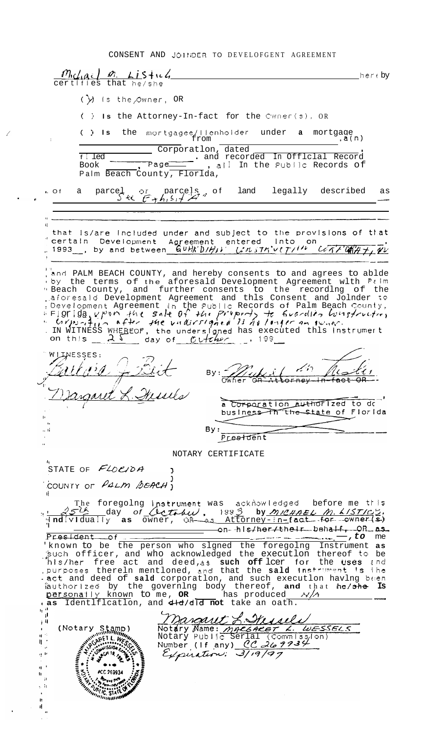CONSENT AND JOINDER TO DEVELOFGENT AGREEMENT

 $\frac{m_{\text{c}}}{\text{certifies that he/she}}$ her  $\epsilon$  by  $(\lambda)$  is the Owner, OR ( ) Is the Attorney-In-fact for the Cwner(s), OR ( ) Is the mortgagee/lienholder under a mortgage  $f$   $\ldots$ ,  $a(n)$ Palm Beach County, Florlda, parcel or parcels, of land legally described<br>
Sit  $F_{7}h_{1}S_{1}H_{2}$  of land legally described  $\overline{O}$  f  $\mathsf{a}$ as that Is/are Included under and subject to the provisions of that certain Development Agreement entered into on<br>1993, by and between GUHK'DIHIV LINSTR'VETI<sup>IN</sup> LETT'ONHT, TU and PALM BEACH COUNTY, and hereby consents to and agrees to ablde<br>by the terms of the aforesald Development Agreement with Pilm<br>"Beach County, and further consents to the recording of the<br>aforesald Development Agreement an WIJNESSES:  $By: \frac{m}{\sqrt{m}}$  $\mathcal{E} = \mathcal{E}$ L. Henries torney a Corporation authorized to de<sup>-</sup> business In the State of Florida By:  $\therefore$  ti Prestdent NOTARY CERTIFICATE STATE OF  $FLOC/DA$ COUNTY OF PALM BEACH) The foregoing instrument was acknowledged before me this<br>
254 day of Cettour, 1993 by MICHAEL M. LISTICS.<br>
Individually as owner, QR as Attorney-in-fact for owner(s)<br>
President of a moment of the community of the set on-his/her/their behalf, OR as<br>Fresident of<br>incommon who signed the foregoing Instrument as<br>such officer, and who acknowledged the execution thereof to be<br>his/her free act and deed, as such officer for the uses and<br>purpos  $\begin{smallmatrix} 1 & 0 \\ 0 & 1 \end{smallmatrix}$ Margaret L. Messler<br>Notary Name: MacGARET L. WESSELS<br>Notary Public Serial (COMMISSION)<br>Number (If any) CC 269934 j II  $(Notary Stamp)$ <br> $w^{minimum}$ ा<br>मृत्यू AMINITER COMMISSION  $\frac{1}{2}$ EL COMMISSION EXAMINE 9. H  $\overline{\bullet}\cdot\bullet$  $\mathbf{u}^{-1}$ #CC 269934 ħ  $\mathfrak{g}$ e h Ä.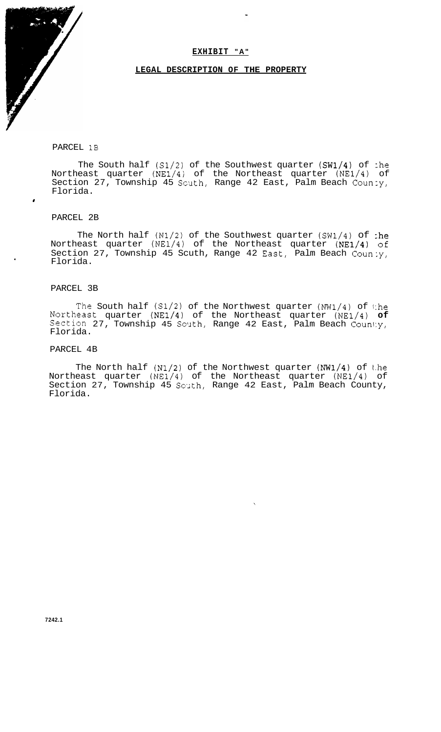#### **EXHIBIT "A"**

#### **LEGAL DESCRIPTION OF THE PROPERTY**

#### PARCEL 1B

The South half (S1/2) of the Southwest quarter (SW1/4) of :he Northeast quarter (NE1/4) of the Northeast quarter (NE1/4) of Section 27, Township 45 Scuth, Range 42 East, Palm Beach Coun:y, Florida.

#### PARCEL 2B

#

The North half (N1/2) of the Southwest quarter (SW1/4) of :he Northeast quarter (NE1/4) of the Northeast quarter (NE1/4) **of**  Section 27, Township 45 Scuth, Range 42 Sast, Palm Beach Coun:y, Florida.

#### PARCEL 3B

The South half **(S1/2)** of the Northwest quarter (NW1/4) of 1:he Northeast quarter (NE1/4) of the Northeast quarter **(NE1/4) of**  Section 27, Township 45 South, Range 42 East, Palm Beach County, Florida.

#### PARCEL 4B

The North half  $(N1/2)$  of the Northwest quarter  $(NW1/4)$  of the Northeast quarter (NE1/4) of the Northeast quarter (NE1/4) of Section 27, Township 45 South, Range 42 East, Palm Beach County, Florida.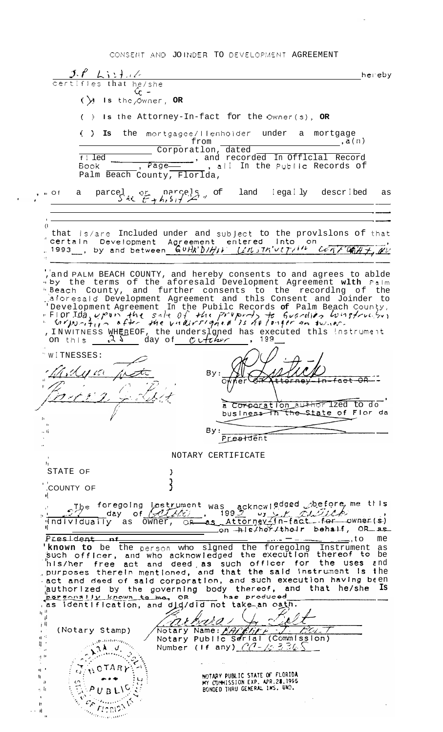CONSENT AND JOINDER TO DEVELOPMENT AGREEMENT

 $J.F.$   $Li:$  }  $1/c$ hereby certifies that he/she  $C_c$  –  $(\lambda)$  is the Owner, OR () Is the Attorney-In-fact for the Owner(s), OR  $( )$  Is the mortgagee/llenholder under a mortgage  $\overline{\phantom{a}}$ , a(n) from Corporatlon, dated parcel or parcels, of  $\cdot$  Of land legally described as  $\mathsf{a}$  $\mathbf{U}$ that  $|s|$  included under and subject to the provisions of that<br>"certain Development Agreement entered into on<br>"1993\_, by and between\_  $\frac{G \cup H \setminus D}{D}$ ,  $\frac{L \cup J H' \cup (7/14)}{L \cup J H''}$ ,  $\frac{G \cup T H'' \cup (7/14)}{L \cup J H''}$ ,  $\frac{G \cup T H''$ WAI CAH + OU , and PALM BEACH COUNTY, and hereby consents to and agrees to ablde<br>
by the terms of the aforesald Development Agreement with Palm<br>
"Beach County, and further consents to the recording of the<br>
"Aforesald Development Agree WITNESSES: 11 CCS By:  $\frac{\gamma}{\alpha}$  $-$ fact  $-$ GR $-$ .<br>Dr. t a Corporation author Ized to do By: .. . President NOTARY CERTIFICATE  $\mathbf{I}_1$ STATE OF ₹ COUNTY OF The foregoing instrument was acknowledged obefore me this<br>day of *Altin*, 1992 by Altin fact for owner(s)<br>Individually as owner, OR as Attorney-In-fact for owner(s) President nf  $=$ , to The studies of the person who signed the foregoing instrument as<br>such officer, and who acknowledged the execution thereof to be<br>his/her free act and deed as such officer for the uses and<br>purposes therein mentioned, and tha harsonally known to me, on has produced<br>as identification, and did/did not take an oath. Sain.  $\frac{1}{4}$  $\pm 0$ (Notary Stamp)  $\cdot$  $\mathcal{N}^{\text{phithting}}_{\text{G}}$  $\cdot;$  $\begin{picture}(120,140)(-30,140)(-20,140)(-20,140)(-20,140)(-20,140)(-20,140)(-20,140)(-20,140)(-20,140)(-20,140)(-20,140)(-20,140)(-20,140)(-20,140)(-20,140)(-20,140)(-20,140)(-20,140)(-20,140)(-20,140)(-20,140)(-20,140)(-20,140)(-20,140)(-20,140)(-20,140$  $H$  $\mathbb{R}^+$  $\theta$ NOTARY  $\mathbf{q}^{-1}$ ່ເມີ NOTARY PUBLIC STATE OF FLORIDA<br>MY COMMISSION EXP. APR.28,1995<br>BONDED THRU GENERAL INS. UND.  $\sum_{i=1}^{n}$  $\mathbf{h}$ t.  $\ddot{ }$  $F/c$  $\sim$  li  $\frac{\partial \mathcal{L}}{\partial \mathcal{L}}$  $\Lambda$  .  $\mathbf{I}^*$  $\sim 4$  $\alpha_{i_{\ell(i),i_{\ell(i)},0},0}$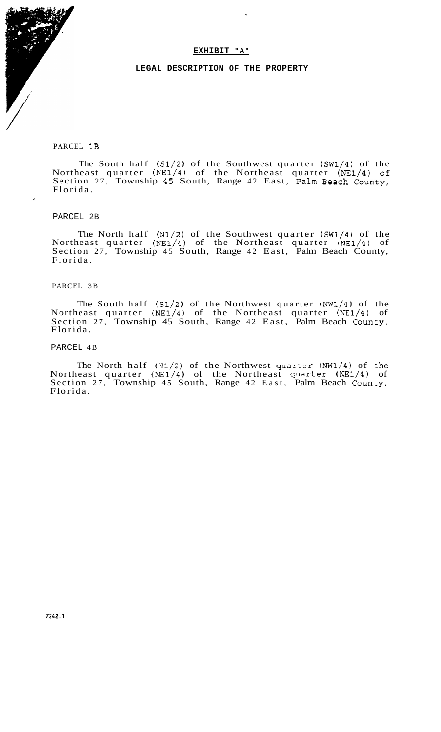#### **EXHIBIT " A "**

#### **LEGAL DESCRIPTION OF THE PROPERTY**

#### PARCEL 1B

The South half (S1/2) of the Southwest quarter (SW1/4) of the Northeast quarter  $(NE1/4)$  of the Northeast quarter  $(NE1/4)$  of Section 27, Township 45 South, Range 42 East, Palm Beach County, Florida.

#### PARCEL 2B

 $\cdot$ 

The North half (N1/2) of the Southwest quarter (SW1/4) of the Northeast quarter (NE1/4) of the Northeast quarter (NE1/4) of Section 27, Township 45 South, Range 42 East, Palm Beach County, Florida.

#### PARCEL 3B

The South half **(S1/2)** of the Northwest quarter (NW1/4) of the Northeast quarter (NE1/4) of the Northeast quarter **(NE1/4)** of Section 27, Township 45 South, Range 42 East, Palm Beach County, Florida.

#### PARCEL 4B

The North half  $(N1/2)$  of the Northwest quarter  $(NW1/4)$  of :he Northeast quarter  $(NE1/4)$  of the Northeast quarter  $(NE1/4)$  of Section 27, Township 45 South, Range 42 East, Palm Beach Coun:y, Florida.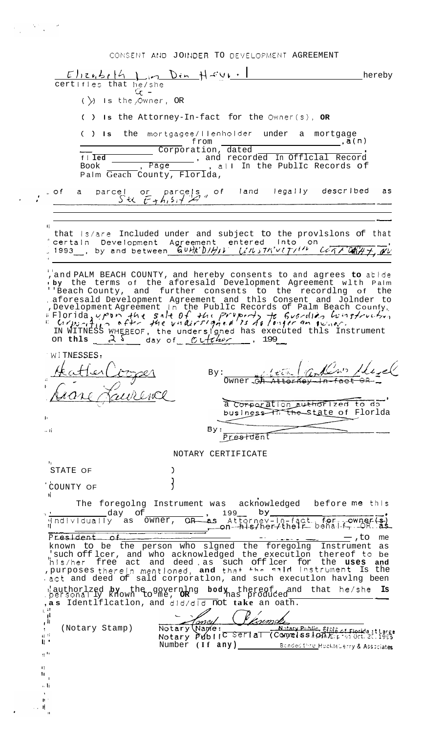CONSENT AND JOINDER TO DEVELOPMENT AGREEMENT

 $\label{eq:2.1} \frac{1}{\sqrt{2\pi}}\frac{1}{\sqrt{2\pi}}\frac{1}{\sqrt{2\pi}}\frac{1}{\sqrt{2\pi}}\frac{1}{\sqrt{2\pi}}\frac{1}{\sqrt{2\pi}}\frac{1}{\sqrt{2\pi}}\frac{1}{\sqrt{2\pi}}\frac{1}{\sqrt{2\pi}}\frac{1}{\sqrt{2\pi}}\frac{1}{\sqrt{2\pi}}\frac{1}{\sqrt{2\pi}}\frac{1}{\sqrt{2\pi}}\frac{1}{\sqrt{2\pi}}\frac{1}{\sqrt{2\pi}}\frac{1}{\sqrt{2\pi}}\frac{1}{\sqrt{2\pi}}\frac{1}{\sqrt$ 

|                                                                                                  | $E$ lizubrth $\int$ in Din Haur-<br>hereby<br>certifies that he/she                                                                                                                                                                                                                                                                                                                                                                                                                  |                 |
|--------------------------------------------------------------------------------------------------|--------------------------------------------------------------------------------------------------------------------------------------------------------------------------------------------------------------------------------------------------------------------------------------------------------------------------------------------------------------------------------------------------------------------------------------------------------------------------------------|-----------------|
|                                                                                                  | $\alpha$ -<br>$(\; )$ is the Owner, OR                                                                                                                                                                                                                                                                                                                                                                                                                                               |                 |
|                                                                                                  | () Is the Attorney-In-fact for the Owner(s), OR                                                                                                                                                                                                                                                                                                                                                                                                                                      |                 |
|                                                                                                  | () Is the mortgagee/llenholder under a mortgage                                                                                                                                                                                                                                                                                                                                                                                                                                      |                 |
|                                                                                                  | from<br>Corporation, dated<br>The Text of The Corded In Official Record<br><b>Page</b> , all In the Public Records of<br>$f \mid \overline{1ed}$<br>Book<br>Palm Geach County, Florlda,                                                                                                                                                                                                                                                                                              |                 |
|                                                                                                  | parcel or parcels of land legally described<br>S <sup>i</sup> $\left\{\begin{array}{ccc} \text{where } & \text{otherwise} \end{array}\right\}$<br>… Of<br>a i                                                                                                                                                                                                                                                                                                                        | as.             |
|                                                                                                  | that Is/are Included under and subject to the provisions of that<br>certain Development Agreement entered into on<br>1993 by and between $G\nu Hk'D/H1V$ $Li\upsilon JK' \nu lT/I''$ $Li\overline{A'}$                                                                                                                                                                                                                                                                               |                 |
|                                                                                                  | , and PALM BEACH COUNTY, and hereby consents to and agrees to abide<br>by the terms of the aforesald Development Agreement with Palm<br>''Beach County, and further consents to the recordlng of the<br>aforesald Development Agreement and thls Consent and Jolnder to , Development Agreement In the PublIc Records of Palm Beach County,<br>E Florida, upon the sale of the property to Guardian hungtruction<br>IN WITNESS WHEREOF, the undersigned has executed this Instrument |                 |
|                                                                                                  | WITNESSES<br>By:<br><u>UNCINC</u>                                                                                                                                                                                                                                                                                                                                                                                                                                                    |                 |
| Ţ,                                                                                               | a Corporation authorized to do<br>business The State of Florida                                                                                                                                                                                                                                                                                                                                                                                                                      |                 |
| 57 H                                                                                             | By:<br>Prestdent                                                                                                                                                                                                                                                                                                                                                                                                                                                                     |                 |
|                                                                                                  | NOTARY CERTIFICATE                                                                                                                                                                                                                                                                                                                                                                                                                                                                   |                 |
|                                                                                                  | ħ.<br>STATE OF<br>a l<br>COUNTY OF                                                                                                                                                                                                                                                                                                                                                                                                                                                   |                 |
|                                                                                                  | H.<br>acknowledged before me this<br>The foregolng Instrument was                                                                                                                                                                                                                                                                                                                                                                                                                    |                 |
|                                                                                                  | bу.<br>day<br>Оf<br>199<br>as Attorney-In-fact. for -- owner (s)<br>con-his/her/their behalf-, OR as<br>Mindlyidually as owner,<br>$OR-$                                                                                                                                                                                                                                                                                                                                             |                 |
|                                                                                                  | President<br>£م_<br>— , to<br>known to be the person who slgned the foregolng<br>Instrument<br>such off lcer, and who acknowledged the executlon thereof to be."<br>free act and deed, as such off lcer for<br>his/her<br>the <b>uses</b><br>, purposes therein mentioned, and that the said instrument is the<br>act and deed of sald corporation, and such execution having been                                                                                                   | me<br>as<br>and |
| $_{\rm L}$ $^{-11}$                                                                              | derived by the governing body thereof, and that he/she hereof, and that he/she<br>, as Identlflcatlon, and did/did not take an oath.<br>-ji                                                                                                                                                                                                                                                                                                                                          | Is              |
| $\epsilon^{\rm H}$<br>$\ddot{\cdot}$<br>$\mathfrak{g}$ $\mathfrak{g}$<br>$\mathbf{u}$ .<br>11.11 | onei<br>Notary (Name:<br>(Notary Stamp)<br>Natary Public, State of Florida at Large<br>Notary Public Serial (Commission): Fig. 26.1995<br>Number (If any)<br>Bonded thru Hockleberry & Associates                                                                                                                                                                                                                                                                                    |                 |
| H.<br>Ħ<br>n li<br>$\ddot{\phantom{1}}$<br>Ħ.<br>-H                                              | -1<br>$\overline{11}$                                                                                                                                                                                                                                                                                                                                                                                                                                                                |                 |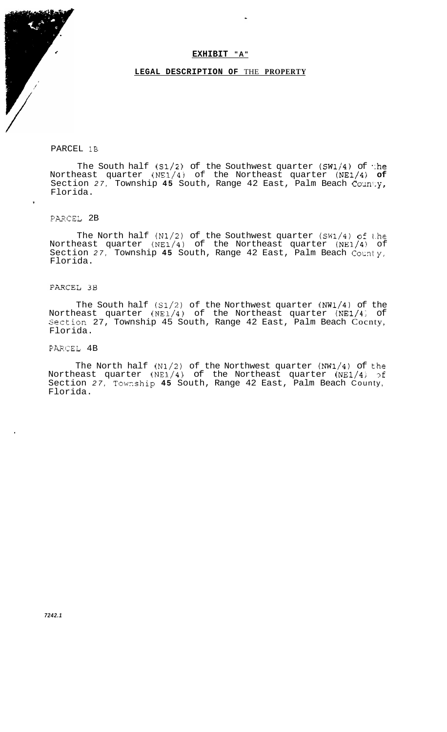#### **EXHIBIT " A "**

#### **LEGAL DESCRIPTION OF** THE **PROPERTY**

#### PARCEL 1B

The South half  $(S1/2)$  of the Southwest quarter  $(SW1/4)$  of :he <code>Northeast quarter (NE1/4) of the Northeast quarter (NE1/4) of </code> Section *27,* Township **45** South, Range 42 East, Palm Beach Coxn!:y, Florida. ,

# PAXCEL 2B

The North half (N1/2) of the Southwest quarter **(SW1/4)** of t.he Northeast quarter (NE1/4) of the Northeast quarter (NE1/4) of Section *27,* Township **45** South, Range 42 East, Palm Beach *Comty,*  Florida.

#### PARCEL 3B

The South half **(S1/2)** of the Northwest quarter (NW1/4) of the Northeast quarter (NE1/4) of the Northeast quarter (NE1/4) of Section 27, Township 45 South, Range 42 East, Palm Beach Cocnty, Florida.

### PARCEL 4B

The North half (N1/2) of the Northwest quarter **(NW1/4)** of t.he Northeast quarter (NE1/4) of the Northeast quarter (NE1/4; 3f Section *27,* Towzship **45** South, Range 42 East, Palm Beach County, Florida.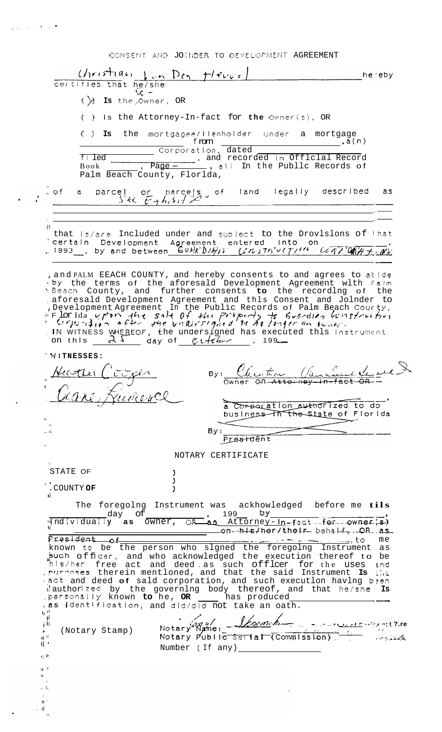|                            | CONSENT AND JOINDER TO DEVELOPMENT AGREEMENT                                                                                                                                                                                                                                                                                                                                                                          |     |
|----------------------------|-----------------------------------------------------------------------------------------------------------------------------------------------------------------------------------------------------------------------------------------------------------------------------------------------------------------------------------------------------------------------------------------------------------------------|-----|
|                            | $ Christian \lim_{n \to \infty} \lim_{n \to \infty} t / \epsilon\cup \epsilon /$<br>he eby                                                                                                                                                                                                                                                                                                                            |     |
|                            | certifies that he/she<br>$\alpha$ -                                                                                                                                                                                                                                                                                                                                                                                   |     |
|                            | $(\cdot)$ Is the Owner, OR                                                                                                                                                                                                                                                                                                                                                                                            |     |
|                            | () Is the Attorney-In-fact for the Owner(s), OR                                                                                                                                                                                                                                                                                                                                                                       |     |
|                            | () Is the mortgagee/llenholder under a mortgage                                                                                                                                                                                                                                                                                                                                                                       |     |
|                            | Corporation, dated                                                                                                                                                                                                                                                                                                                                                                                                    |     |
|                            | $f \mid$ led<br>The magnetic method in official Record<br>The Public Records of<br>Book                                                                                                                                                                                                                                                                                                                               |     |
|                            | Palm Beach County, Florlda,                                                                                                                                                                                                                                                                                                                                                                                           |     |
| $\alpha$ of                | el or parcels of land legally described<br>Sec $\overline{t}$ + $h_1$ sit $\overline{t}$ "<br>parcel<br>a                                                                                                                                                                                                                                                                                                             | as  |
|                            |                                                                                                                                                                                                                                                                                                                                                                                                                       |     |
| $\mathcal{L}$              | that Is/are Included under and subject to the Drovlslons of that                                                                                                                                                                                                                                                                                                                                                      |     |
|                            | certain Development Agreement entered into on<br>1993, by and between $G\nu R/D/H/\nu$ [in Th'very'' LATIONAT                                                                                                                                                                                                                                                                                                         |     |
|                            |                                                                                                                                                                                                                                                                                                                                                                                                                       |     |
|                            | , and PALM EEACH COUNTY, and hereby consents to and agrees to all de<br>by the terms of the aforesald Development Agreement with falm                                                                                                                                                                                                                                                                                 |     |
|                            | <sup>4</sup> Beach County, and further consents to the recordlng of the                                                                                                                                                                                                                                                                                                                                               |     |
|                            | aforesald Development Agreement and thls Consent and Jolnder to                                                                                                                                                                                                                                                                                                                                                       |     |
|                            | Development Agreement In the Public Records of Palm Beach Courty,<br>Flor Ida vport the sale of the property to Guerdian histrictive,<br>C: printing of the undirrighted In the longer on tensor.                                                                                                                                                                                                                     |     |
|                            | . IN WITNESS WHEREOF, the undersigned has executed this instrument<br>on this $25$ day of $\mathcal{C}$ $\mathcal{C}$ $\mathcal{C}$ $\mathcal{C}$ $\mathcal{C}$ $\mathcal{C}$ $\mathcal{C}$ $\mathcal{C}$ $\mathcal{C}$ $\mathcal{C}$ $\mathcal{C}$ $\mathcal{C}$ $\mathcal{C}$ $\mathcal{C}$ $\mathcal{C}$ $\mathcal{C}$ $\mathcal{C}$ $\mathcal{C}$ $\mathcal{C}$ $\mathcal{C}$ $\mathcal{C}$ $\mathcal{C}$ $\math$ |     |
|                            | WITNESSES:                                                                                                                                                                                                                                                                                                                                                                                                            |     |
|                            | $\mathcal{L} \mathcal{L} \rightarrow \mathcal{L} \rightarrow \mathcal{L} \rightarrow \mathcal{L} \rightarrow \mathcal{L}$<br>$\frac{1}{2}$ $\frac{1}{2}$ $\frac{1}{2}$                                                                                                                                                                                                                                                |     |
|                            | By :<br>$\mu$ - $\overline{\mu}$ er<br>Owner OR Attorney-In-fact                                                                                                                                                                                                                                                                                                                                                      |     |
|                            |                                                                                                                                                                                                                                                                                                                                                                                                                       |     |
|                            | a Corporation authorized to do<br>business The State of Florida                                                                                                                                                                                                                                                                                                                                                       |     |
| h.<br>$\ddot{\phantom{1}}$ |                                                                                                                                                                                                                                                                                                                                                                                                                       |     |
| n                          | By:<br>Prestdent                                                                                                                                                                                                                                                                                                                                                                                                      |     |
|                            | NOTARY CERTIFICATE                                                                                                                                                                                                                                                                                                                                                                                                    |     |
| $\mathbf T$<br>STATE OF    |                                                                                                                                                                                                                                                                                                                                                                                                                       |     |
|                            | COUNTY OF                                                                                                                                                                                                                                                                                                                                                                                                             |     |
|                            |                                                                                                                                                                                                                                                                                                                                                                                                                       |     |
|                            | The foregolng Instrument was ackhowledged before me tils<br>, 199 by<br>day of                                                                                                                                                                                                                                                                                                                                        |     |
|                            | individually as owner, OR as Attorney-In-fact for owner's)<br>on-his/her/their behalf, OR.as                                                                                                                                                                                                                                                                                                                          |     |
|                            | President of                                                                                                                                                                                                                                                                                                                                                                                                          | me  |
|                            | known to be the person who slgned the foregolng Instrument<br>such officer, and who acknowledged the execution thereof to be                                                                                                                                                                                                                                                                                          | as  |
|                            | his/her free act and deed as such offlcer for the uses<br>purposes therein mentloned, and that the said Instrument Is the                                                                                                                                                                                                                                                                                             | and |
|                            | act and deed of sald corporation, and such executlon havlng been                                                                                                                                                                                                                                                                                                                                                      |     |
|                            | dauthor zed by the governing body thereof, and that he/she<br>personally known to he, OR ____ has produced                                                                                                                                                                                                                                                                                                            | Is  |
|                            | as identification, and did/did not take an oath.                                                                                                                                                                                                                                                                                                                                                                      |     |
| $\mathbf{u}$ if            | <u>Shoemch</u>                                                                                                                                                                                                                                                                                                                                                                                                        |     |
| `∥.<br>۱۱ ز                |                                                                                                                                                                                                                                                                                                                                                                                                                       |     |
| $\bullet$<br>$0.9^\circ$   | (Notary Stamp)                                                                                                                                                                                                                                                                                                                                                                                                        |     |
| 井 -                        | Notary Name: <i>Y comch</i><br>Number (If any)                                                                                                                                                                                                                                                                                                                                                                        |     |
| 33 M<br>$H^{-1}$           |                                                                                                                                                                                                                                                                                                                                                                                                                       |     |
| H.                         |                                                                                                                                                                                                                                                                                                                                                                                                                       |     |
| r: h                       |                                                                                                                                                                                                                                                                                                                                                                                                                       |     |

 $\mathcal{L}_{\text{eff}}$  , the  $\mathcal{L}_{\text{eff}}$ 

 $\zeta_{\rm{eff}}$  .

 $\epsilon$ 

 $\ddot{\phantom{0}}$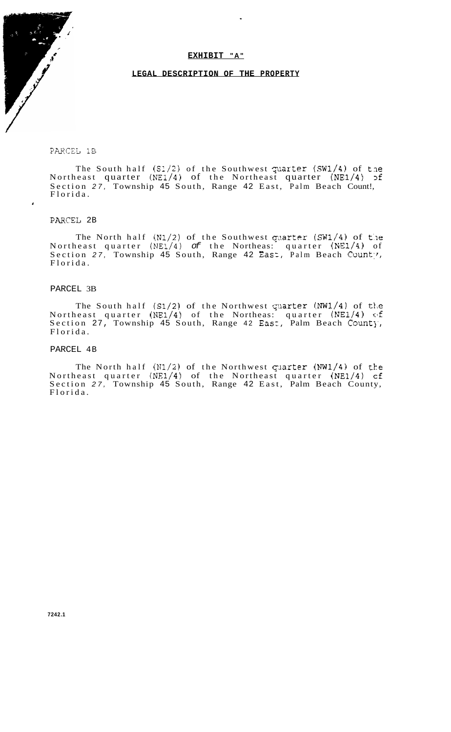#### **EXHIBIT " A "**

#### **LEGAL DESCRIPTION OF THE PROPERTY**

### PARCEL 1B

The South half  $(S1/2)$  of the Southwest quarter (SW1/4) of the Northeast quarter (NE1/4) of the Northeast quarter (NE1/4) 3f Section *27,* Township 45 South, Range 42 East, Palm Beach Count!, Florida.

## PARCSL 2B

 $\pmb{\cdot}$ 

The North half  $(N1/2)$  of the Southwest quarter (SW1/4) of the Northeast quarter (NE1/4) *of* the Northeas: quarter (NE1/4) of Section 27, Township 45 South, Range 42 East, Palm Beach County, Florida.

#### PARCEL 3B

The South half  $(S1/2)$  of the Northwest quarter (NW1/4) of the Northeast quarter **(NE1/4)** of the Northeas: quarter (NE1/4) (:If Section 27, Township 45 South, Range 42 East, Palm Beach County, Florida.

#### PARCEL 4B

The North half  $(N1/2)$  of the Northwest quarter  $(NW1/4)$  of the Northeast quarter (NE1/4) of the Northeast quarter (NE1/4) cf Section *27,* Township 45 South, Range 42 East, Palm Beach County, Florida.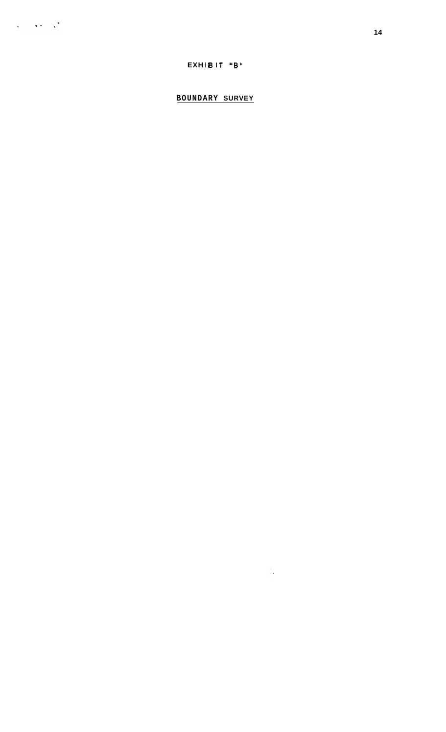# EXHIBIT "B"

# **BOUNDARY SURVEY**

 $\mathcal{L}^{\text{max}}_{\text{max}}$